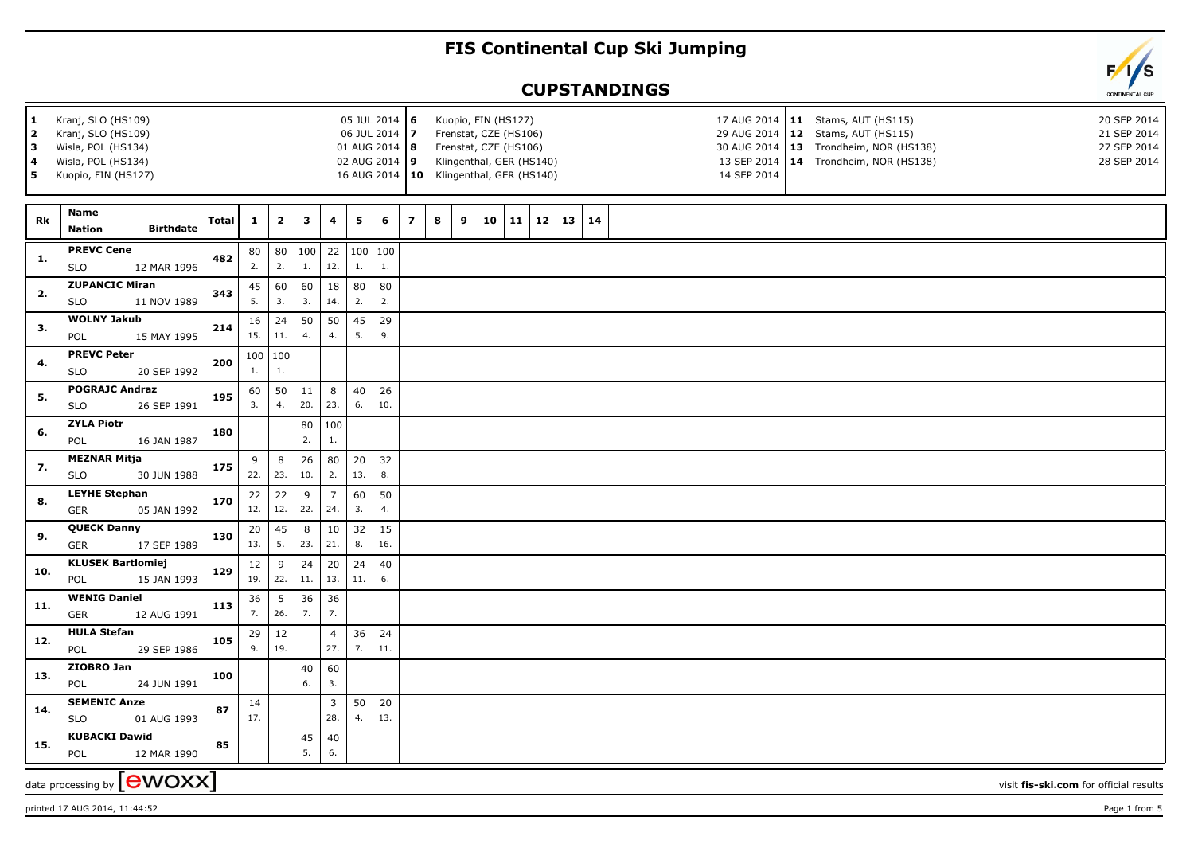## **FIS Continental Cup Ski Jumping**

## **CUPSTANDINGS**



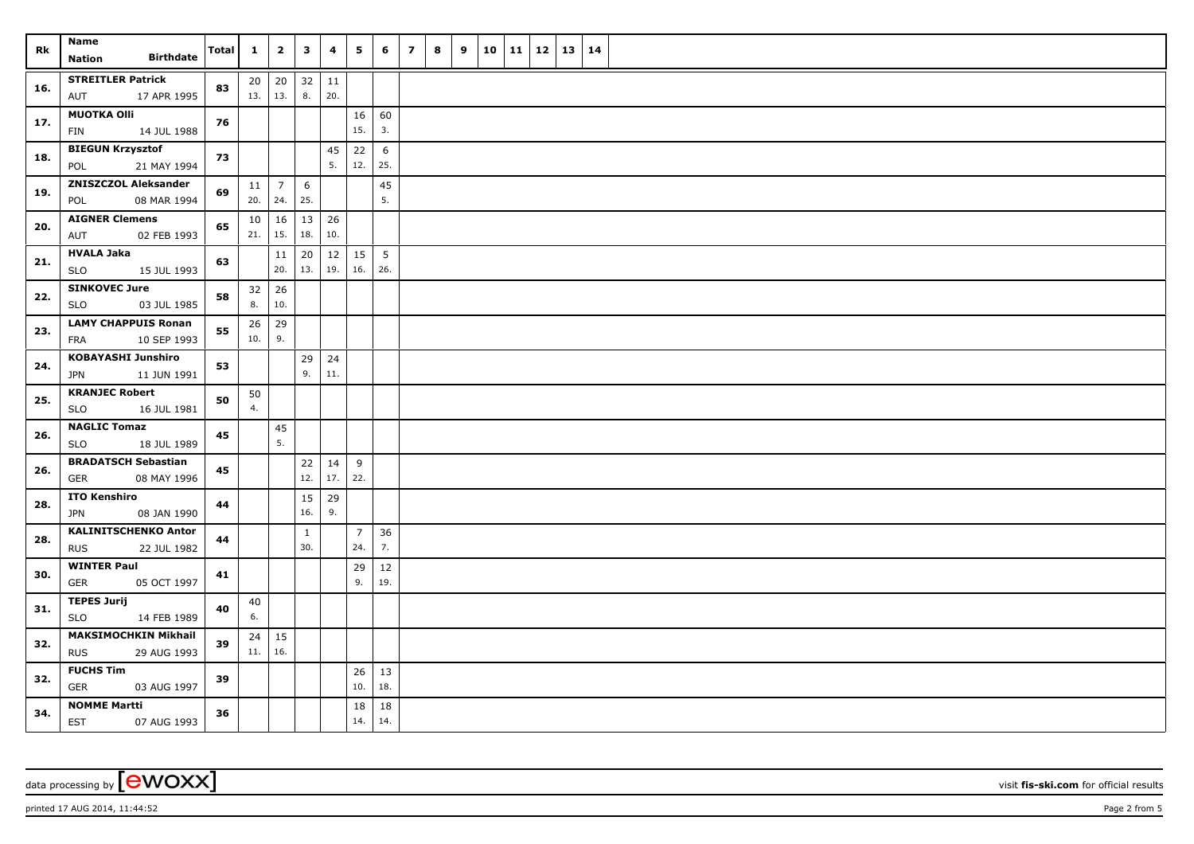| Rk  | Name<br><b>Birthdate</b><br>Nation                       | Total | $\mathbf{1}$ | $\overline{\mathbf{2}}$     | $\mathbf{3}$        | 4             | 5                     | 6                      | $\overline{z}$ | 8 | 9 | 10 | 11 | <b>12</b> | 13 | 14 |  |
|-----|----------------------------------------------------------|-------|--------------|-----------------------------|---------------------|---------------|-----------------------|------------------------|----------------|---|---|----|----|-----------|----|----|--|
| 16. | <b>STREITLER Patrick</b><br>17 APR 1995<br>AUT           | 83    | 13.   13.    | $20 \mid 20$                | 32<br>8.            | $11\,$<br>20. |                       |                        |                |   |   |    |    |           |    |    |  |
| 17. | <b>MUOTKA OIII</b><br>14 JUL 1988<br>FIN                 | 76    |              |                             |                     |               | 16<br>15.             | 60<br>3.               |                |   |   |    |    |           |    |    |  |
| 18. | <b>BIEGUN Krzysztof</b><br>POL<br>21 MAY 1994            | 73    |              |                             |                     | 45<br>5.      | 22<br>12.             | 6<br>25.               |                |   |   |    |    |           |    |    |  |
| 19. | <b>ZNISZCZOL Aleksander</b><br>08 MAR 1994<br>POL        | 69    | 11           | $\overline{7}$<br>20.   24. | 6<br>25.            |               |                       | 45<br>5.               |                |   |   |    |    |           |    |    |  |
| 20. | <b>AIGNER Clemens</b><br>02 FEB 1993<br>AUT              | 65    | 10<br>21.    | 16<br>15.                   | 13<br>18.           | 26<br>10.     |                       |                        |                |   |   |    |    |           |    |    |  |
| 21. | <b>HVALA Jaka</b><br>15 JUL 1993<br>SLO                  | 63    |              | 11<br>20.                   | 20<br>13.           | 12<br>19.     | 15<br>16.             | $5\overline{5}$<br>26. |                |   |   |    |    |           |    |    |  |
| 22. | <b>SINKOVEC Jure</b><br>03 JUL 1985<br>SLO               | 58    | 32<br>8.     | 26<br>10.                   |                     |               |                       |                        |                |   |   |    |    |           |    |    |  |
| 23. | <b>LAMY CHAPPUIS Ronan</b><br>10 SEP 1993<br><b>FRA</b>  | 55    | 26<br>10.    | 29<br>9.                    |                     |               |                       |                        |                |   |   |    |    |           |    |    |  |
| 24. | <b>KOBAYASHI Junshiro</b><br><b>JPN</b><br>11 JUN 1991   | 53    |              |                             | 29<br>9.            | 24<br>11.     |                       |                        |                |   |   |    |    |           |    |    |  |
| 25. | <b>KRANJEC Robert</b><br><b>SLO</b><br>16 JUL 1981       | 50    | 50<br>4.     |                             |                     |               |                       |                        |                |   |   |    |    |           |    |    |  |
| 26. | <b>NAGLIC Tomaz</b><br><b>SLO</b><br>18 JUL 1989         | 45    |              | 45<br>5.                    |                     |               |                       |                        |                |   |   |    |    |           |    |    |  |
| 26. | <b>BRADATSCH Sebastian</b><br><b>GER</b><br>08 MAY 1996  | 45    |              |                             | 22<br>12.           | 14<br>17.     | 9<br>22.              |                        |                |   |   |    |    |           |    |    |  |
| 28. | <b>ITO Kenshiro</b><br>08 JAN 1990<br><b>JPN</b>         | 44    |              |                             | 15<br>16.           | 29<br>9.      |                       |                        |                |   |   |    |    |           |    |    |  |
| 28. | <b>KALINITSCHENKO Anton</b><br><b>RUS</b><br>22 JUL 1982 | 44    |              |                             | $\mathbf{1}$<br>30. |               | $\overline{7}$<br>24. | 36<br>7.               |                |   |   |    |    |           |    |    |  |
| 30. | <b>WINTER Paul</b><br><b>GER</b><br>05 OCT 1997          | 41    |              |                             |                     |               | 29<br>9.              | 12<br>19.              |                |   |   |    |    |           |    |    |  |
| 31. | <b>TEPES Jurij</b><br><b>SLO</b><br>14 FEB 1989          | 40    | 40<br>6.     |                             |                     |               |                       |                        |                |   |   |    |    |           |    |    |  |
| 32. | <b>MAKSIMOCHKIN Mikhail</b><br><b>RUS</b><br>29 AUG 1993 | 39    | 11.   16.    | $24 \mid 15$                |                     |               |                       |                        |                |   |   |    |    |           |    |    |  |
| 32. | <b>FUCHS Tim</b><br>GER<br>03 AUG 1997                   | 39    |              |                             |                     |               | 26<br>10.             | 13<br>18.              |                |   |   |    |    |           |    |    |  |
| 34. | <b>NOMME Martti</b><br>07 AUG 1993<br><b>EST</b>         | 36    |              |                             |                     |               | 18<br>14.             | 18<br>14.              |                |   |   |    |    |           |    |    |  |

data processing by **CWOXX** visit **fis-ski.com** for official results

 $p$ rinted 17 AUG 2014, 11:44:52  $p$ age 2 from 5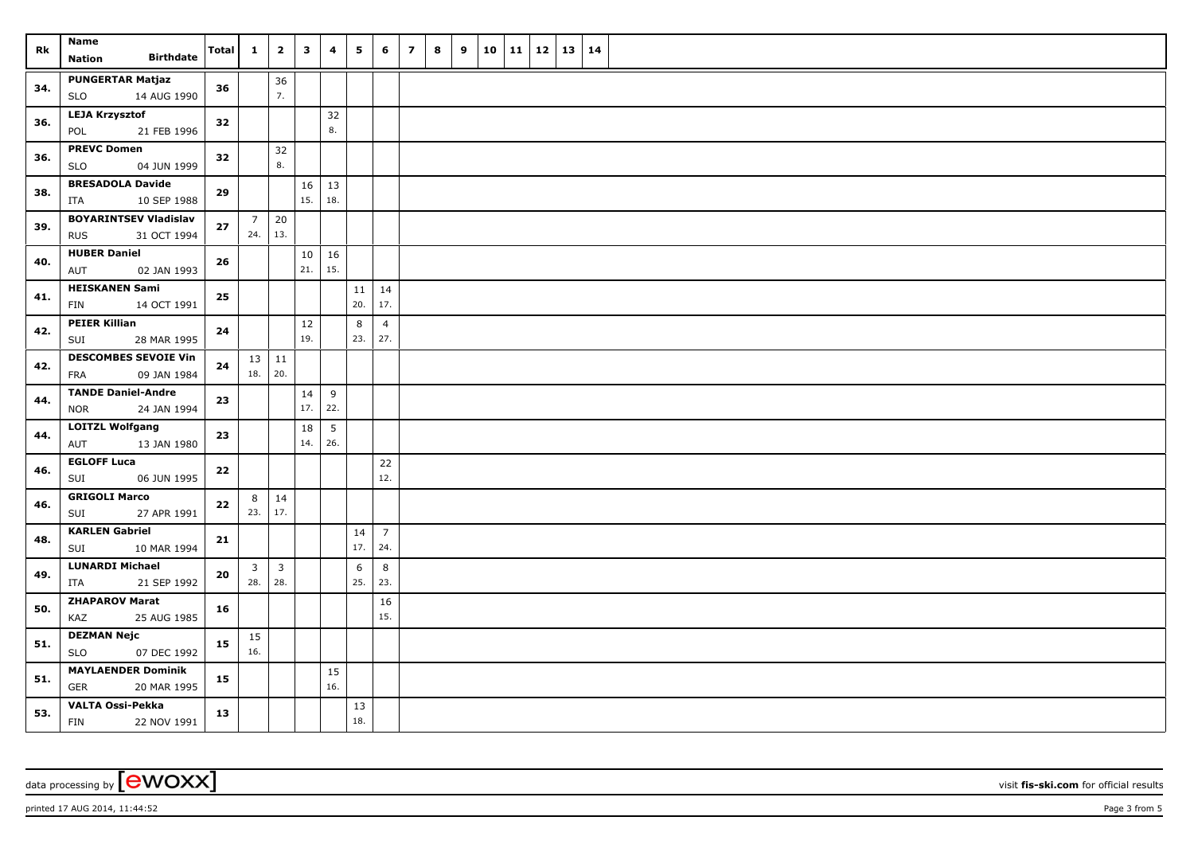| Rk  | Name<br><b>Birthdate</b><br><b>Nation</b>                 | <b>Total</b> | $\mathbf{1}$                   | $\overline{2}$        | $\overline{\mathbf{3}}$ | $\overline{\mathbf{4}}$ | 5         | 6                     | $\overline{7}$ | 8 | 9 | 10 | 11 | 12 | $13 \mid 14$ |  |
|-----|-----------------------------------------------------------|--------------|--------------------------------|-----------------------|-------------------------|-------------------------|-----------|-----------------------|----------------|---|---|----|----|----|--------------|--|
| 34. | <b>PUNGERTAR Matjaz</b><br>14 AUG 1990<br><b>SLO</b>      | 36           |                                | 36<br>7.              |                         |                         |           |                       |                |   |   |    |    |    |              |  |
| 36. | <b>LEJA Krzysztof</b><br>POL<br>21 FEB 1996               | 32           |                                |                       |                         | 32<br>8.                |           |                       |                |   |   |    |    |    |              |  |
| 36. | <b>PREVC Domen</b><br><b>SLO</b><br>04 JUN 1999           | 32           |                                | 32<br>8.              |                         |                         |           |                       |                |   |   |    |    |    |              |  |
| 38. | <b>BRESADOLA Davide</b><br>10 SEP 1988<br>ITA             | 29           |                                |                       | 16<br>15.               | 13<br>18.               |           |                       |                |   |   |    |    |    |              |  |
| 39. | <b>BOYARINTSEV Vladislav</b><br><b>RUS</b><br>31 OCT 1994 | 27           | $\overline{7}$<br>$24.$ 13.    | 20                    |                         |                         |           |                       |                |   |   |    |    |    |              |  |
| 40. | <b>HUBER Daniel</b><br>02 JAN 1993<br>AUT                 | 26           |                                |                       | 10<br>21.               | 16<br>15.               |           |                       |                |   |   |    |    |    |              |  |
| 41. | <b>HEISKANEN Sami</b><br>FIN<br>14 OCT 1991               | 25           |                                |                       |                         |                         | 11<br>20. | 14<br>17.             |                |   |   |    |    |    |              |  |
| 42. | <b>PEIER Killian</b><br>SUI<br>28 MAR 1995                | 24           |                                |                       | 12<br>19.               |                         | 8<br>23.  | $\overline{4}$<br>27. |                |   |   |    |    |    |              |  |
| 42. | <b>DESCOMBES SEVOIE Vin</b><br>FRA<br>09 JAN 1984         | 24           | $13 \mid 11$<br>18. 20.        |                       |                         |                         |           |                       |                |   |   |    |    |    |              |  |
| 44. | <b>TANDE Daniel-Andre</b><br>24 JAN 1994<br><b>NOR</b>    | 23           |                                |                       | 14<br>17.               | 9<br>22.                |           |                       |                |   |   |    |    |    |              |  |
| 44. | <b>LOITZL Wolfgang</b><br>AUT<br>13 JAN 1980              | 23           |                                |                       | 18<br>14.               | 5<br>26.                |           |                       |                |   |   |    |    |    |              |  |
| 46. | <b>EGLOFF Luca</b><br>06 JUN 1995<br>SUI                  | ${\bf 22}$   |                                |                       |                         |                         |           | $22$<br>12.           |                |   |   |    |    |    |              |  |
| 46. | <b>GRIGOLI Marco</b><br>27 APR 1991<br>SUI                | 22           | 8<br>23.                       | $\vert$ 14<br>17.     |                         |                         |           |                       |                |   |   |    |    |    |              |  |
| 48. | <b>KARLEN Gabriel</b><br>SUI<br>10 MAR 1994               | 21           |                                |                       |                         |                         | 14<br>17. | $\overline{7}$<br>24. |                |   |   |    |    |    |              |  |
| 49. | <b>LUNARDI Michael</b><br>ITA<br>21 SEP 1992              | 20           | $\overline{\mathbf{3}}$<br>28. | $\overline{3}$<br>28. |                         |                         | 6<br>25.  | 8<br>23.              |                |   |   |    |    |    |              |  |
| 50. | <b>ZHAPAROV Marat</b><br>25 AUG 1985<br>KAZ               | 16           |                                |                       |                         |                         |           | 16<br>15.             |                |   |   |    |    |    |              |  |
| 51. | <b>DEZMAN Nejc</b><br><b>SLO</b><br>07 DEC 1992           | 15           | 15<br>16.                      |                       |                         |                         |           |                       |                |   |   |    |    |    |              |  |
| 51. | <b>MAYLAENDER Dominik</b><br><b>GER</b><br>20 MAR 1995    | 15           |                                |                       |                         | 15<br>16.               |           |                       |                |   |   |    |    |    |              |  |
| 53. | <b>VALTA Ossi-Pekka</b><br>FIN<br>22 NOV 1991             | 13           |                                |                       |                         |                         | 13<br>18. |                       |                |   |   |    |    |    |              |  |

data processing by **CWOXX** visit **fis-ski.com** for official results

 $p$ rinted 17 AUG 2014, 11:44:52  $p$ age 3 from 5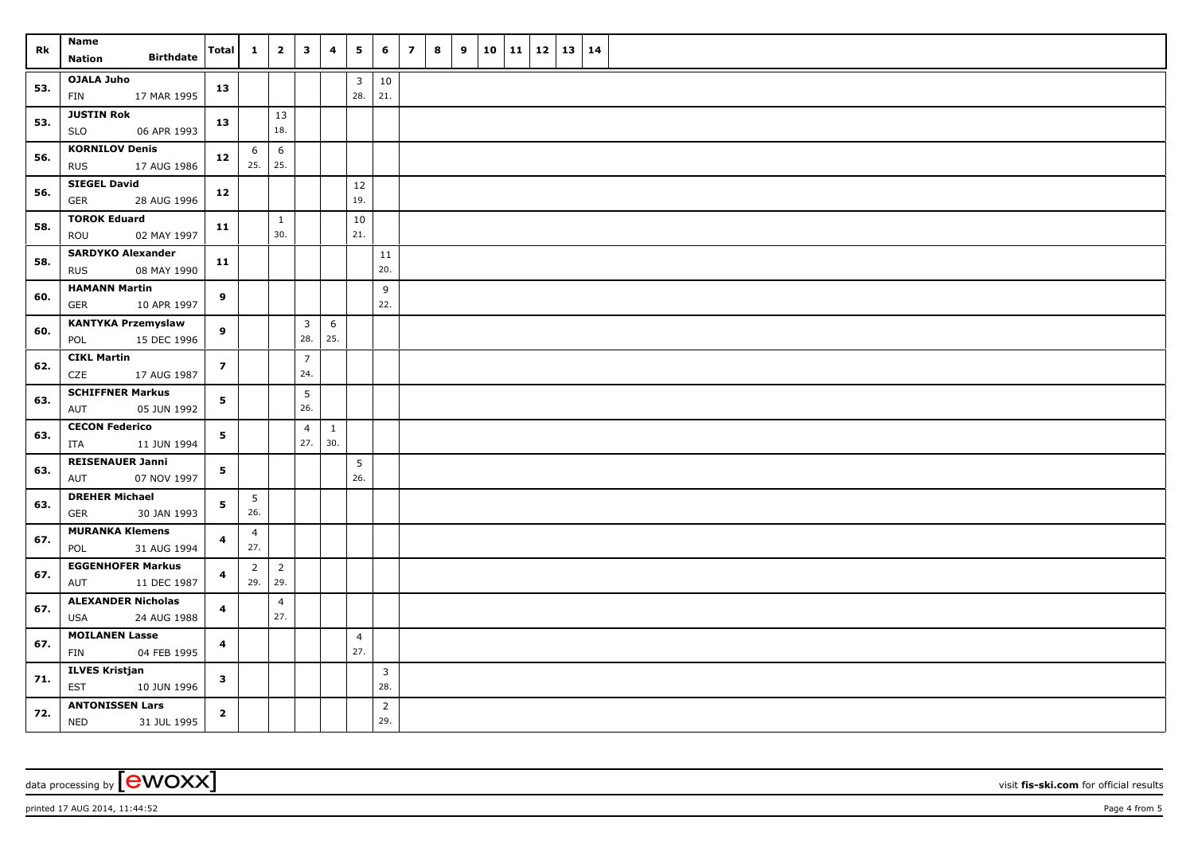| Rk  | Name<br><b>Birthdate</b><br><b>Nation</b>             | Total                    | $\mathbf{1}$                | $\overline{2}$         | $\overline{\mathbf{3}}$ | $\overline{\mathbf{4}}$ | 5                              | 6                     | $\overline{7}$ | 8 | 9 | 10 | 11   12 | $13 \mid 14$ |  |
|-----|-------------------------------------------------------|--------------------------|-----------------------------|------------------------|-------------------------|-------------------------|--------------------------------|-----------------------|----------------|---|---|----|---------|--------------|--|
| 53. | <b>OJALA Juho</b><br>17 MAR 1995<br>FIN               | 13                       |                             |                        |                         |                         | $\overline{\mathbf{3}}$<br>28. | $10\,$<br>21.         |                |   |   |    |         |              |  |
| 53. | <b>JUSTIN Rok</b><br>06 APR 1993<br><b>SLO</b>        | 13                       |                             | 13<br>18.              |                         |                         |                                |                       |                |   |   |    |         |              |  |
| 56. | <b>KORNILOV Denis</b><br><b>RUS</b><br>17 AUG 1986    | 12                       | 6<br>25.                    | $6\phantom{.}6$<br>25. |                         |                         |                                |                       |                |   |   |    |         |              |  |
| 56. | <b>SIEGEL David</b><br>28 AUG 1996<br>GER             | 12                       |                             |                        |                         |                         | $12\,$<br>19.                  |                       |                |   |   |    |         |              |  |
| 58. | <b>TOROK Eduard</b><br>02 MAY 1997<br>ROU             | 11                       |                             | $\mathbf{1}$<br>30.    |                         |                         | 10<br>21.                      |                       |                |   |   |    |         |              |  |
| 58. | <b>SARDYKO Alexander</b><br>08 MAY 1990<br><b>RUS</b> | 11                       |                             |                        |                         |                         |                                | $11\,$<br>20.         |                |   |   |    |         |              |  |
| 60. | <b>HAMANN Martin</b><br><b>GER</b><br>10 APR 1997     | 9                        |                             |                        |                         |                         |                                | 9<br>22.              |                |   |   |    |         |              |  |
| 60. | <b>KANTYKA Przemyslaw</b><br>15 DEC 1996<br>POL       | 9                        |                             |                        | $\mathbf{3}$<br>28.     | 6<br>25.                |                                |                       |                |   |   |    |         |              |  |
| 62. | <b>CIKL Martin</b><br>CZE<br>17 AUG 1987              | $\overline{\phantom{a}}$ |                             |                        | $\overline{7}$<br>24.   |                         |                                |                       |                |   |   |    |         |              |  |
| 63. | <b>SCHIFFNER Markus</b><br>AUT<br>05 JUN 1992         | 5                        |                             |                        | $5\phantom{.0}$<br>26.  |                         |                                |                       |                |   |   |    |         |              |  |
| 63. | <b>CECON Federico</b><br>ITA<br>11 JUN 1994           | 5                        |                             |                        | $\overline{4}$<br>27.   | $\mathbf{1}$<br>30.     |                                |                       |                |   |   |    |         |              |  |
| 63. | <b>REISENAUER Janni</b><br>07 NOV 1997<br>AUT         | 5                        |                             |                        |                         |                         | 5<br>26.                       |                       |                |   |   |    |         |              |  |
| 63. | <b>DREHER Michael</b><br>30 JAN 1993<br>GER           | 5                        | $5\phantom{.0}$<br>26.      |                        |                         |                         |                                |                       |                |   |   |    |         |              |  |
| 67. | <b>MURANKA Klemens</b><br>POL<br>31 AUG 1994          | 4                        | $\overline{4}$<br>27.       |                        |                         |                         |                                |                       |                |   |   |    |         |              |  |
| 67. | <b>EGGENHOFER Markus</b><br>AUT<br>11 DEC 1987        | 4                        | $\overline{2}$<br>$29.$ 29. | $\overline{2}$         |                         |                         |                                |                       |                |   |   |    |         |              |  |
| 67. | <b>ALEXANDER Nicholas</b><br>USA<br>24 AUG 1988       | 4                        |                             | $\overline{4}$<br>27.  |                         |                         |                                |                       |                |   |   |    |         |              |  |
| 67. | <b>MOILANEN Lasse</b><br>FIN<br>04 FEB 1995           | $\overline{\mathbf{4}}$  |                             |                        |                         |                         | $\overline{4}$<br>27.          |                       |                |   |   |    |         |              |  |
| 71. | <b>ILVES Kristjan</b><br><b>EST</b><br>10 JUN 1996    | $\mathbf{3}$             |                             |                        |                         |                         |                                | $\overline{3}$<br>28. |                |   |   |    |         |              |  |
| 72. | <b>ANTONISSEN Lars</b><br><b>NED</b><br>31 JUL 1995   | $\overline{2}$           |                             |                        |                         |                         |                                | $\overline{2}$<br>29. |                |   |   |    |         |              |  |

data processing by **CWOXX** wisit **fis-ski.com** for official results

 $p$ rinted 17 AUG 2014, 11:44:52  $p$ age 4 from 5